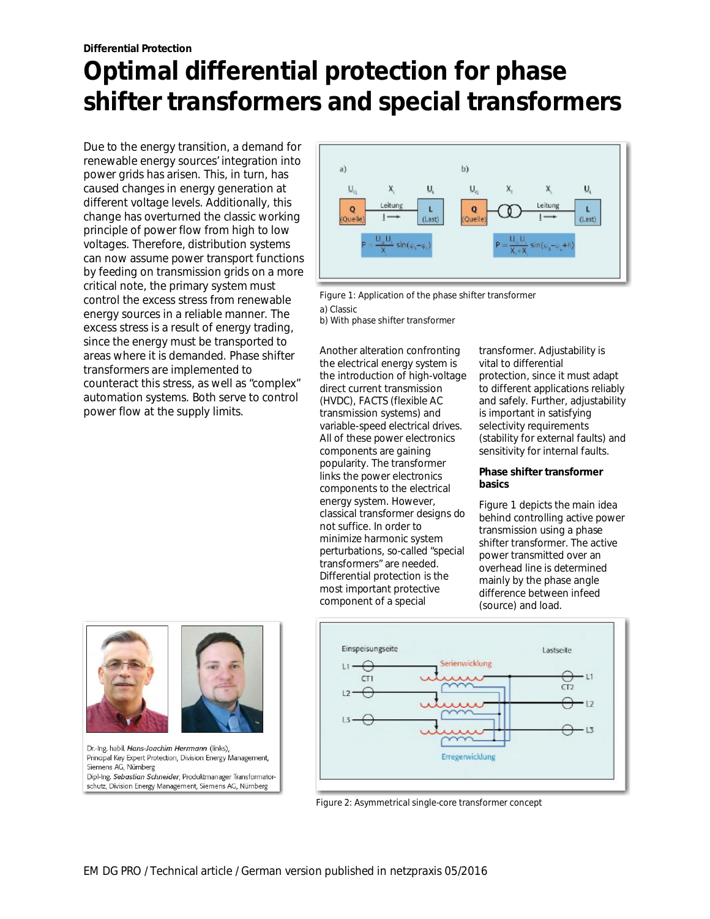# **Optimal differential protection for phase shifter transformers and special transformers**

Due to the energy transition, a demand for renewable energy sources' integration into power grids has arisen. This, in turn, has caused changes in energy generation at different voltage levels. Additionally, this change has overturned the classic working principle of power flow from high to low voltages. Therefore, distribution systems can now assume power transport functions by feeding on transmission grids on a more critical note, the primary system must control the excess stress from renewable energy sources in a reliable manner. The excess stress is a result of energy trading, since the energy must be transported to areas where it is demanded. Phase shifter transformers are implemented to counteract this stress, as well as "complex" automation systems. Both serve to control power flow at the supply limits.



Figure 1: Application of the phase shifter transformer a) Classic

b) With phase shifter transformer

Another alteration confronting the electrical energy system is the introduction of high-voltage direct current transmission (HVDC), FACTS (flexible AC transmission systems) and variable-speed electrical drives. All of these power electronics components are gaining popularity. The transformer links the power electronics components to the electrical energy system. However, classical transformer designs do not suffice. In order to minimize harmonic system perturbations, so-called "special transformers" are needed. Differential protection is the most important protective component of a special

transformer. Adjustability is vital to differential protection, since it must adapt to different applications reliably and safely. Further, adjustability is important in satisfying selectivity requirements (stability for external faults) and sensitivity for internal faults.

**Phase shifter transformer basics**

Figure 1 depicts the main idea behind controlling active power transmission using a phase shifter transformer. The active power transmitted over an overhead line is determined mainly by the phase angle difference between infeed (source) and load.



Dr.-Ing. habil. Hans-Joachim Herrmann (links), Principal Key Expert Protection, Division Energy Management, Siemens AG, Nürnberg Dipl-Ing. Sebastian Schneider, Produktmanager Transformatorschutz, Division Energy Management, Siemens AG, Nürnberg



Figure 2: Asymmetrical single-core transformer concept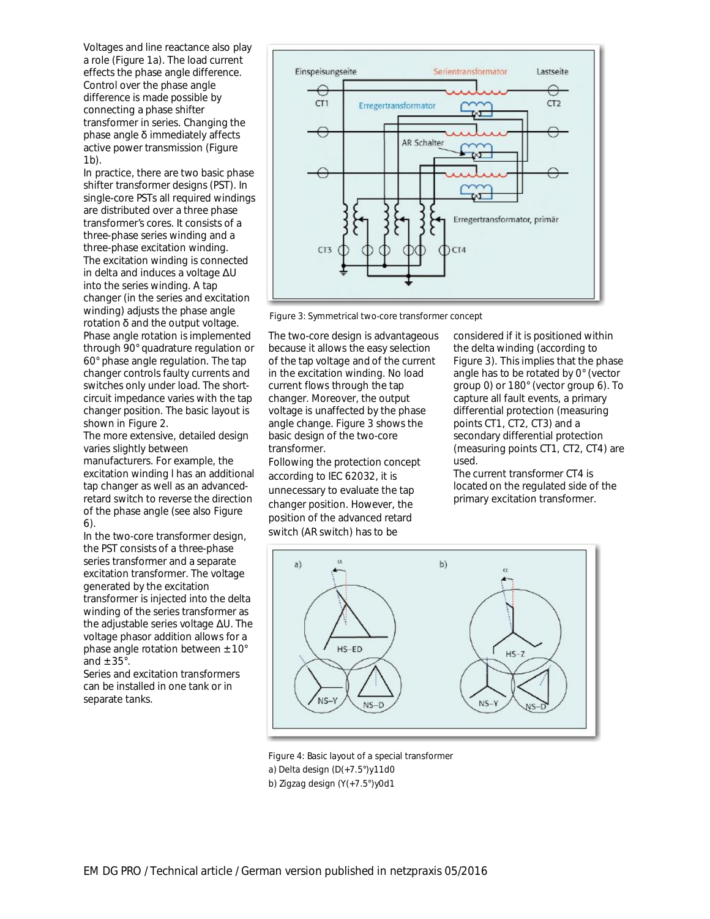Voltages and line reactance also play a role (Figure 1a). The load current effects the phase angle difference. Control over the phase angle difference is made possible by connecting a phase shifter transformer in series. Changing the phase angle δ immediately affects active power transmission (Figure 1b).

In practice, there are two basic phase shifter transformer designs (PST). In single-core PSTs all required windings are distributed over a three phase transformer's cores. It consists of a three-phase series winding and a three-phase excitation winding. The excitation winding is connected in delta and induces a voltage ΔU into the series winding. A tap changer (in the series and excitation winding) adjusts the phase angle rotation  $\delta$  and the output voltage. Phase angle rotation is implemented through 90° quadrature regulation or 60° phase angle regulation. The tap changer controls faulty currents and switches only under load. The shortcircuit impedance varies with the tap changer position. The basic layout is shown in Figure 2.

The more extensive, detailed design varies slightly between manufacturers. For example, the excitation winding l has an additional tap changer as well as an advancedretard switch to reverse the direction of the phase angle (see also Figure 6).

In the two-core transformer design, the PST consists of a three-phase series transformer and a separate excitation transformer. The voltage generated by the excitation transformer is injected into the delta winding of the series transformer as the adjustable series voltage ΔU. The voltage phasor addition allows for a phase angle rotation between  $\pm$  10 $^{\circ}$ and  $\pm$  35 $^{\circ}$ .

Series and excitation transformers can be installed in one tank or in separate tanks.



Figure 3: Symmetrical two-core transformer concept

The two-core design is advantageous because it allows the easy selection of the tap voltage and of the current in the excitation winding. No load current flows through the tap changer. Moreover, the output voltage is unaffected by the phase angle change. Figure 3 shows the basic design of the two-core transformer.

Following the protection concept according to IEC 62032, it is unnecessary to evaluate the tap changer position. However, the position of the advanced retard switch (AR switch) has to be

considered if it is positioned within the delta winding (according to Figure 3). This implies that the phase angle has to be rotated by 0° (vector group 0) or 180° (vector group 6). To capture all fault events, a primary differential protection (measuring points CT1, CT2, CT3) and a secondary differential protection (measuring points CT1, CT2, CT4) are used.

The current transformer CT4 is located on the regulated side of the primary excitation transformer.



Figure 4: Basic layout of a special transformer a) Delta design (D(+7.5°)y11d0 b) Zigzag design (Y(+7.5°)y0d1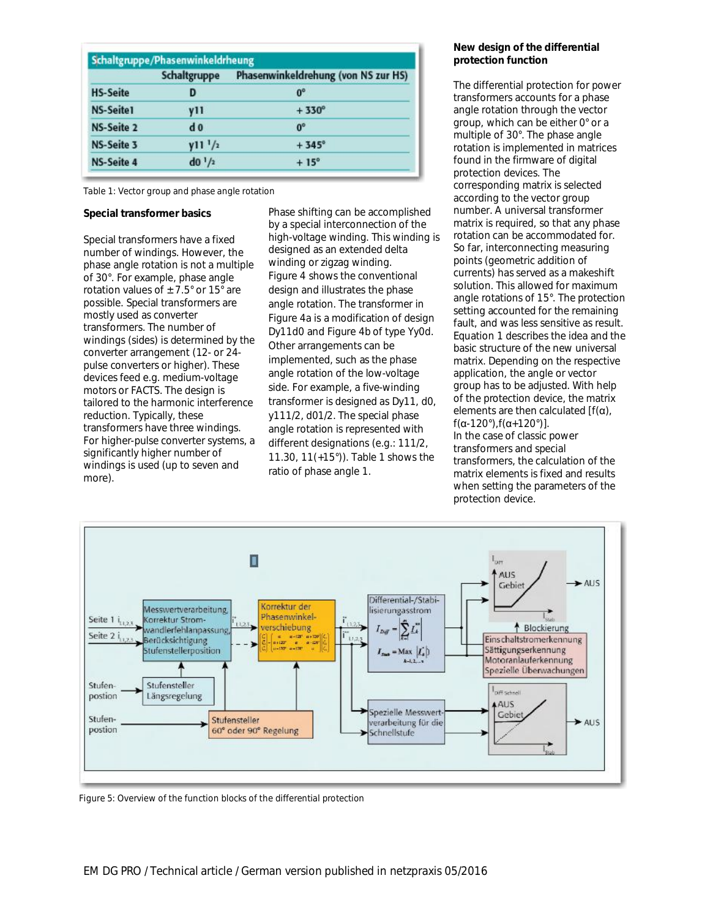|                   | Schaltgruppe        | Phasenwinkeldrehung (von NS zur HS) |  |  |  |  |  |
|-------------------|---------------------|-------------------------------------|--|--|--|--|--|
| <b>HS-Seite</b>   | D                   | $0^{\circ}$                         |  |  |  |  |  |
| <b>NS-Seite1</b>  | V11                 | $+330^\circ$                        |  |  |  |  |  |
| <b>NS-Seite 2</b> | d <sub>0</sub>      | $0^{\circ}$                         |  |  |  |  |  |
| <b>NS-Seite 3</b> | y11 <sup>1</sup> /2 | $+345^\circ$                        |  |  |  |  |  |
| <b>NS-Seite 4</b> | $d0^{1/2}$          | $+15^\circ$                         |  |  |  |  |  |

Table 1: Vector group and phase angle rotation

### **Special transformer basics**

Special transformers have a fixed number of windings. However, the phase angle rotation is not a multiple of 30°. For example, phase angle rotation values of  $\pm$  7.5° or 15° are possible. Special transformers are mostly used as converter transformers. The number of windings (sides) is determined by the converter arrangement (12- or 24 pulse converters or higher). These devices feed e.g. medium-voltage motors or FACTS. The design is tailored to the harmonic interference reduction. Typically, these transformers have three windings. For higher-pulse converter systems, a significantly higher number of windings is used (up to seven and more).

Phase shifting can be accomplished by a special interconnection of the high-voltage winding. This winding is designed as an extended delta winding or zigzag winding. Figure 4 shows the conventional design and illustrates the phase angle rotation. The transformer in Figure 4a is a modification of design Dy11d0 and Figure 4b of type Yy0d. Other arrangements can be implemented, such as the phase angle rotation of the low-voltage side. For example, a five-winding transformer is designed as Dy11, d0, y111/2, d01/2. The special phase angle rotation is represented with different designations (e.g.: 111/2, 11.30, 11(+15°)). Table 1 shows the ratio of phase angle 1.

### **New design of the differential protection function**

The differential protection for power transformers accounts for a phase angle rotation through the vector group, which can be either 0° or a multiple of 30°. The phase angle rotation is implemented in matrices found in the firmware of digital protection devices. The corresponding matrix is selected according to the vector group number. A universal transformer matrix is required, so that any phase rotation can be accommodated for. So far, interconnecting measuring points (geometric addition of currents) has served as a makeshift solution. This allowed for maximum angle rotations of 15°. The protection setting accounted for the remaining fault, and was less sensitive as result. Equation 1 describes the idea and the basic structure of the new universal matrix. Depending on the respective application, the angle or vector group has to be adjusted. With help of the protection device, the matrix elements are then calculated  $[f(\alpha)]$ f(α-120°),f(α+120°)]. In the case of classic power transformers and special transformers, the calculation of the matrix elements is fixed and results when setting the parameters of the protection device.



Figure 5: Overview of the function blocks of the differential protection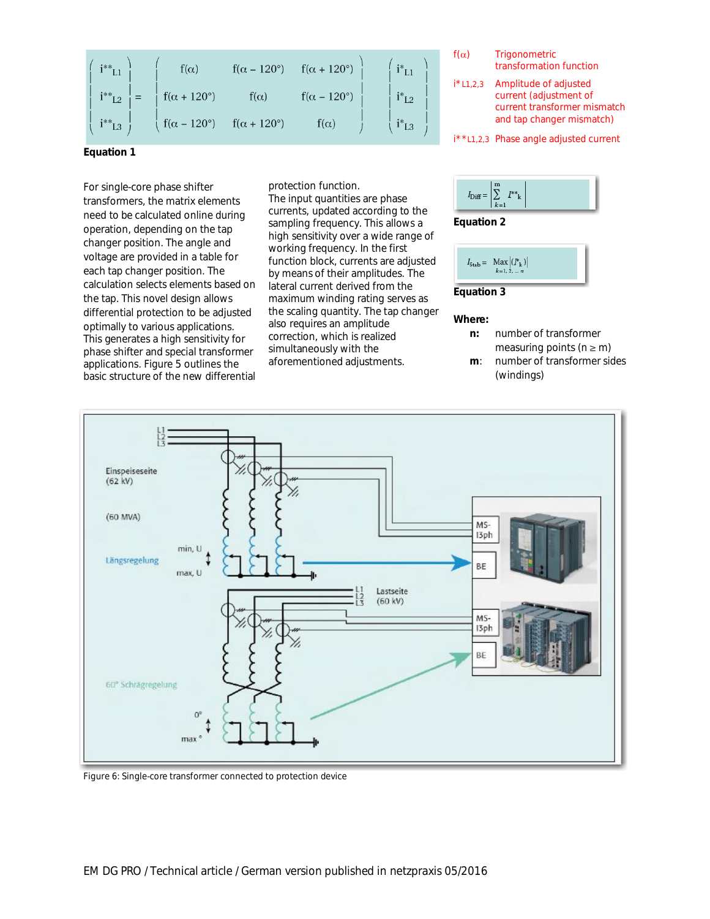| $i^{**}$ L1                  | $f(\alpha)$                    | $f(\alpha - 120^{\circ})$ | $f(\alpha + 120^{\circ})$ | $i^*_{L1}$           | i*i |
|------------------------------|--------------------------------|---------------------------|---------------------------|----------------------|-----|
| $i^{**}$ <sub>L2</sub> $ $ = | $\int f(\alpha + 120^{\circ})$ | $f(\alpha)$               | $f(\alpha-120^\circ)$     | $i^*$ L <sub>2</sub> |     |
| $i^*i^*$ $i^*$               | $f(\alpha - 120^{\circ})$      | $f(\alpha + 120^{\circ})$ | $f(\alpha)$               | $i^*$ L <sub>3</sub> | t * |

**Equation 1**

For single-core phase shifter transformers, the matrix elements need to be calculated online during operation, depending on the tap changer position. The angle and voltage are provided in a table for each tap changer position. The calculation selects elements based on the tap. This novel design allows differential protection to be adjusted optimally to various applications. This generates a high sensitivity for phase shifter and special transformer applications. Figure 5 outlines the basic structure of the new differential

protection function. The input quantities are phase currents, updated according to the sampling frequency. This allows a high sensitivity over a wide range of working frequency. In the first function block, currents are adjusted by means of their amplitudes. The lateral current derived from the maximum winding rating serves as the scaling quantity. The tap changer also requires an amplitude correction, which is realized simultaneously with the aforementioned adjustments.



i\*\*L1,2,3 Phase angle adjusted current



**Equation 2**



**Where:**

- **n:** number of transformer measuring points ( $n \ge m$ )
- **m**: number of transformer sides (windings)



Figure 6: Single-core transformer connected to protection device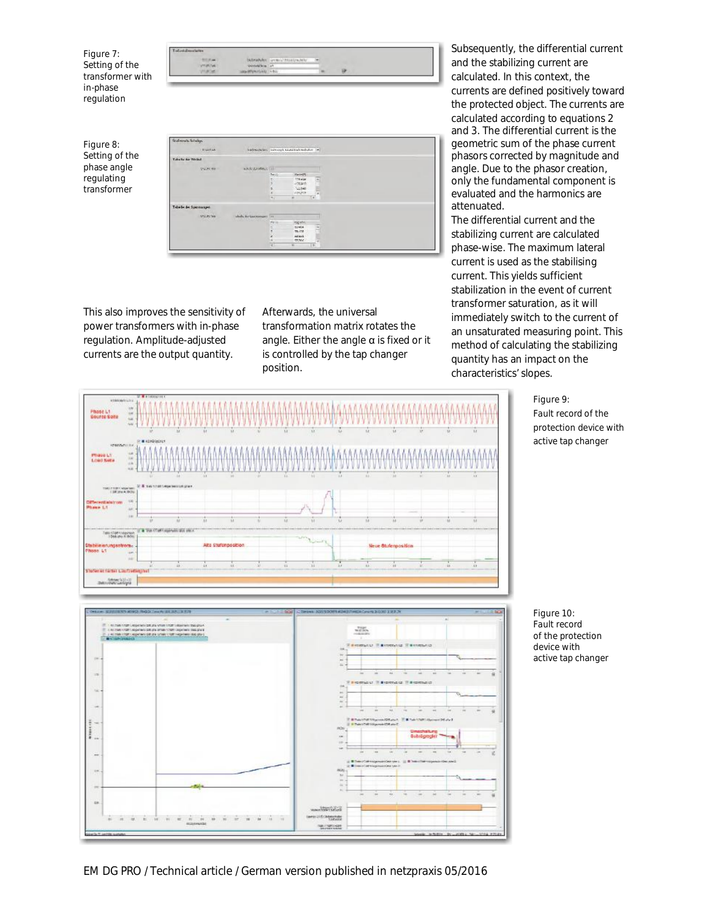Figure 7: Setting of the transformer with in-phase regulation



Figure 8: Setting of the phase angle regulating transformer

| Sulmouts Situação      |                                      |                |                                                  |        |
|------------------------|--------------------------------------|----------------|--------------------------------------------------|--------|
| ALLIAN                 |                                      |                | fractions have been and translated includes. The |        |
| Take he do Weited      |                                      |                |                                                  |        |
| 24.01.88               | wick system (III)                    |                |                                                  |        |
|                        |                                      | 7011           | FiniteDS.                                        |        |
|                        |                                      |                | 175.046                                          | ▣      |
|                        |                                      |                | -YOUNG<br>$-2256$                                |        |
|                        |                                      |                | VISUALE.                                         | $\sim$ |
|                        |                                      | $\overline{a}$ |                                                  | Te .   |
| Tebelle de Sperinsspri |                                      |                |                                                  |        |
|                        |                                      |                |                                                  |        |
| <b>UNITED</b>          | which division measure (in           |                |                                                  |        |
| ---                    | <b>Service Controller Controller</b> | M.H.           | <b>RSEWOVE</b>                                   |        |
|                        |                                      |                | 53,404                                           | ê      |
|                        |                                      |                | voirs.<br>sales in                               |        |
|                        |                                      |                | trace.                                           |        |
|                        |                                      |                | ÷                                                | i s    |

This also improves the sensitivity of power transformers with in-phase regulation. Amplitude-adjusted currents are the output quantity.

Afterwards, the universal transformation matrix rotates the angle. Either the angle  $\alpha$  is fixed or it is controlled by the tap changer position.

Subsequently, the differential current and the stabilizing current are calculated. In this context, the currents are defined positively toward the protected object. The currents are calculated according to equations 2 and 3. The differential current is the geometric sum of the phase current phasors corrected by magnitude and angle. Due to the phasor creation, only the fundamental component is evaluated and the harmonics are attenuated.

The differential current and the stabilizing current are calculated phase-wise. The maximum lateral current is used as the stabilising current. This yields sufficient stabilization in the event of current transformer saturation, as it will immediately switch to the current of an unsaturated measuring point. This method of calculating the stabilizing quantity has an impact on the characteristics' slopes.

> Figure 9: Fault record of the protection device with active tap changer





Figure 10: Fault record of the protection device with active tap changer